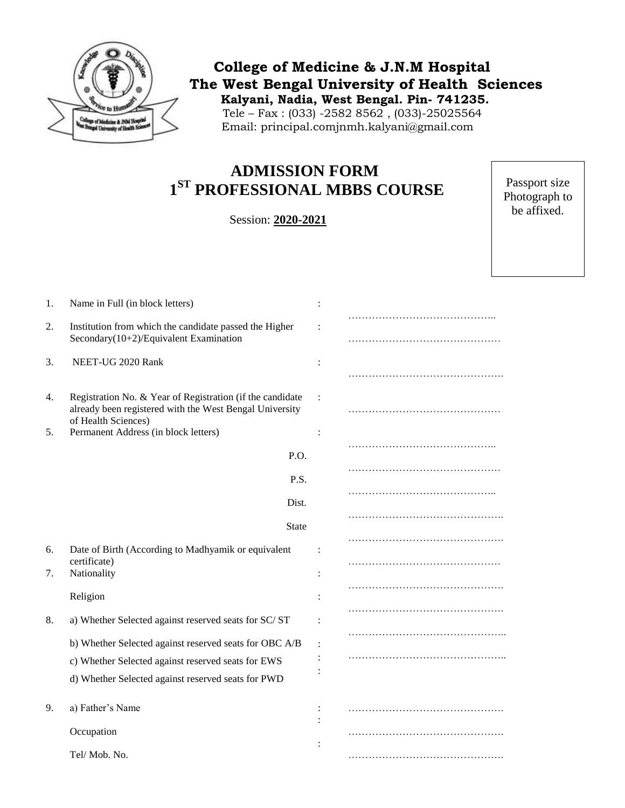

 **College of Medicine & J.N.M Hospital The West Bengal University of Health Sciences Kalyani, Nadia, West Bengal. Pin- 741235.** Tele – Fax : (033) -2582 8562 , (033)-25025564 Email: principal.comjnmh.kalyani@gmail.com

## **ADMISSION FORM 1 ST PROFESSIONAL MBBS COURSE**

Session: **2020-2021**

Passport size Photograph to be affixed.

| 1. | Name in Full (in block letters)                                                                  |  |  |
|----|--------------------------------------------------------------------------------------------------|--|--|
| 2. | Institution from which the candidate passed the Higher<br>Secondary(10+2)/Equivalent Examination |  |  |
| 3. | NEET-UG 2020 Rank                                                                                |  |  |
| 4. | Registration No. & Year of Registration (if the candidate                                        |  |  |
|    | already been registered with the West Bengal University<br>of Health Sciences)                   |  |  |
| 5. | Permanent Address (in block letters)                                                             |  |  |
|    | P.O.                                                                                             |  |  |
|    | P.S.                                                                                             |  |  |
|    | Dist.                                                                                            |  |  |
|    | <b>State</b>                                                                                     |  |  |
| 6. | Date of Birth (According to Madhyamik or equivalent                                              |  |  |
| 7. | certificate)<br>Nationality                                                                      |  |  |
|    | Religion                                                                                         |  |  |
| 8. | a) Whether Selected against reserved seats for SC/ST                                             |  |  |
|    | b) Whether Selected against reserved seats for OBC A/B                                           |  |  |
|    | c) Whether Selected against reserved seats for EWS                                               |  |  |
|    | d) Whether Selected against reserved seats for PWD                                               |  |  |
| 9. | a) Father's Name                                                                                 |  |  |
|    | Occupation                                                                                       |  |  |
|    | Tel/Mob. No.                                                                                     |  |  |